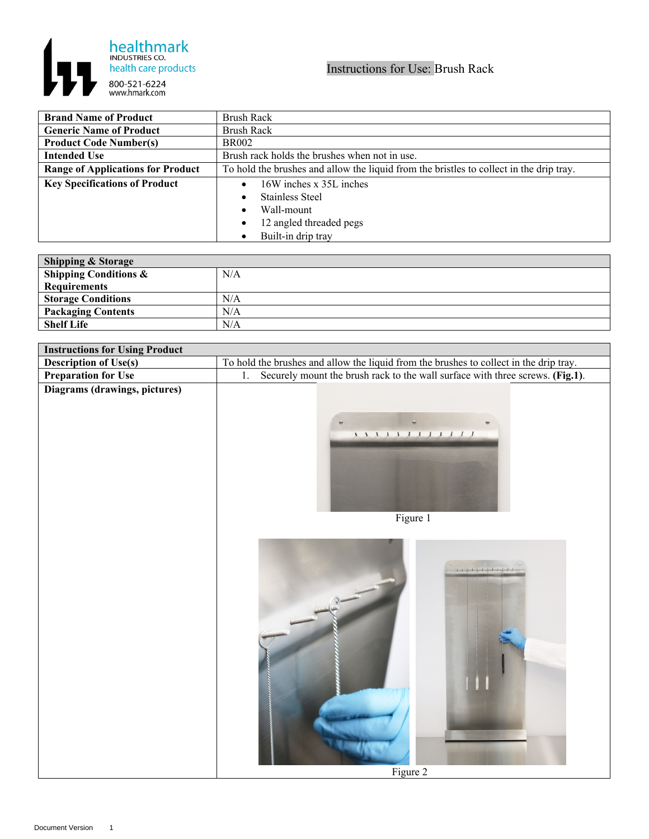

| <b>Brand Name of Product</b>             | <b>Brush Rack</b>                                                                       |
|------------------------------------------|-----------------------------------------------------------------------------------------|
| <b>Generic Name of Product</b>           | <b>Brush Rack</b>                                                                       |
| <b>Product Code Number(s)</b>            | <b>BR002</b>                                                                            |
| <b>Intended Use</b>                      | Brush rack holds the brushes when not in use.                                           |
| <b>Range of Applications for Product</b> | To hold the brushes and allow the liquid from the bristles to collect in the drip tray. |
| <b>Key Specifications of Product</b>     | 16W inches x 35L inches                                                                 |
|                                          | Stainless Steel                                                                         |
|                                          | Wall-mount<br>$\bullet$                                                                 |
|                                          | 12 angled threaded pegs<br>$\bullet$                                                    |
|                                          | Built-in drip tray                                                                      |

| <b>Shipping &amp; Storage</b>    |     |
|----------------------------------|-----|
| <b>Shipping Conditions &amp;</b> | N/A |
| <b>Requirements</b>              |     |
| <b>Storage Conditions</b>        | N/A |
| <b>Packaging Contents</b>        | N/A |
| <b>Shelf Life</b>                | N/A |